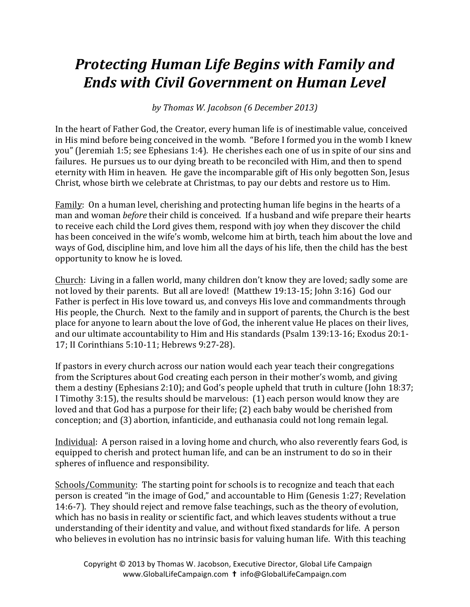## **Protecting Human Life Begins with Family and** *Ends with Civil Government on Human Level*

*by Thomas W. Jacobson (6 December 2013)*

In the heart of Father God, the Creator, every human life is of inestimable value, conceived in His mind before being conceived in the womb. "Before I formed you in the womb I knew you" (Jeremiah 1:5; see Ephesians 1:4). He cherishes each one of us in spite of our sins and failures. He pursues us to our dying breath to be reconciled with Him, and then to spend eternity with Him in heaven. He gave the incomparable gift of His only begotten Son, Jesus Christ, whose birth we celebrate at Christmas, to pay our debts and restore us to Him.

Family: On a human level, cherishing and protecting human life begins in the hearts of a man and woman *before* their child is conceived. If a husband and wife prepare their hearts to receive each child the Lord gives them, respond with joy when they discover the child has been conceived in the wife's womb, welcome him at birth, teach him about the love and ways of God, discipline him, and love him all the days of his life, then the child has the best opportunity to know he is loved.

Church: Living in a fallen world, many children don't know they are loved; sadly some are not loved by their parents. But all are loved! (Matthew 19:13-15; John 3:16) God our Father is perfect in His love toward us, and conveys His love and commandments through His people, the Church. Next to the family and in support of parents, the Church is the best place for anyone to learn about the love of God, the inherent value He places on their lives, and our ultimate accountability to Him and His standards (Psalm 139:13-16; Exodus 20:1-17; II Corinthians 5:10-11; Hebrews 9:27-28).

If pastors in every church across our nation would each year teach their congregations from the Scriptures about God creating each person in their mother's womb, and giving them a destiny (Ephesians 2:10); and God's people upheld that truth in culture (John 18:37; I Timothy  $3:15$ ), the results should be marvelous:  $(1)$  each person would know they are loved and that God has a purpose for their life; (2) each baby would be cherished from conception; and (3) abortion, infanticide, and euthanasia could not long remain legal.

Individual: A person raised in a loving home and church, who also reverently fears God, is equipped to cherish and protect human life, and can be an instrument to do so in their spheres of influence and responsibility.

Schools/Community: The starting point for schools is to recognize and teach that each person is created "in the image of God," and accountable to Him (Genesis 1:27; Revelation 14:6-7). They should reject and remove false teachings, such as the theory of evolution, which has no basis in reality or scientific fact, and which leaves students without a true understanding of their identity and value, and without fixed standards for life. A person who believes in evolution has no intrinsic basis for valuing human life. With this teaching